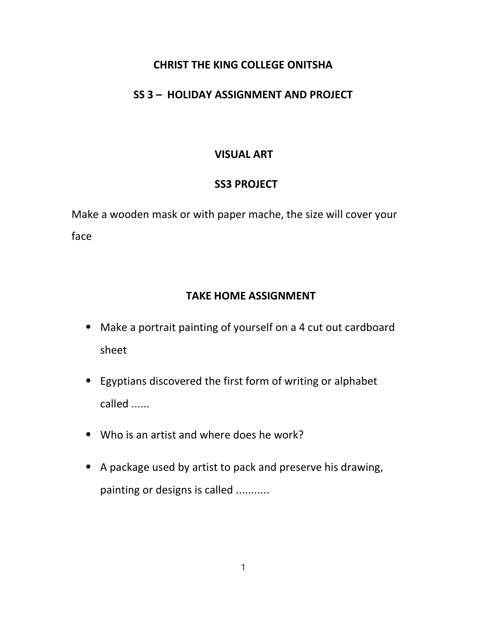### CHRIST THE KING COLLEGE ONITSHA

### SS 3 – HOLIDAY ASSIGNMENT AND PROJECT

# VISUAL ART

# SS3 PROJECT

Make a wooden mask or with paper mache, the size will cover your face

# TAKE HOME ASSIGNMENT

- ⦁ Make a portrait painting of yourself on a 4 cut out cardboard sheet
- ⦁ Egyptians discovered the first form of writing or alphabet called ......
- ⦁ Who is an artist and where does he work?
- ⦁ A package used by artist to pack and preserve his drawing, painting or designs is called ...........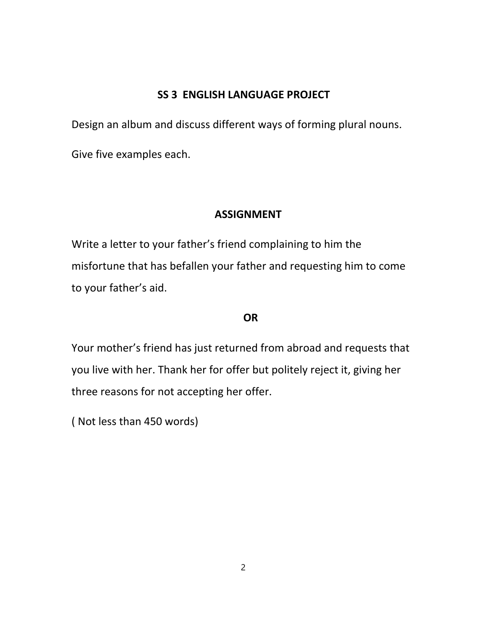### SS 3 ENGLISH LANGUAGE PROJECT

Design an album and discuss different ways of forming plural nouns.

Give five examples each.

### ASSIGNMENT

Write a letter to your father's friend complaining to him the misfortune that has befallen your father and requesting him to come to your father's aid.

#### **OR**

Your mother's friend has just returned from abroad and requests that you live with her. Thank her for offer but politely reject it, giving her three reasons for not accepting her offer.

( Not less than 450 words)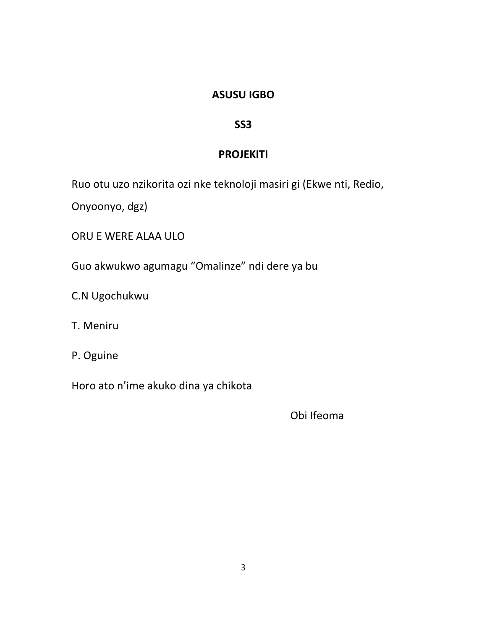### ASUSU IGBO

### SS3

# **PROJEKITI**

Ruo otu uzo nzikorita ozi nke teknoloji masiri gi (Ekwe nti, Redio,

Onyoonyo, dgz)

ORU E WERE ALAA ULO

Guo akwukwo agumagu "Omalinze" ndi dere ya bu

C.N Ugochukwu

T. Meniru

P. Oguine

Horo ato n'ime akuko dina ya chikota

Obi Ifeoma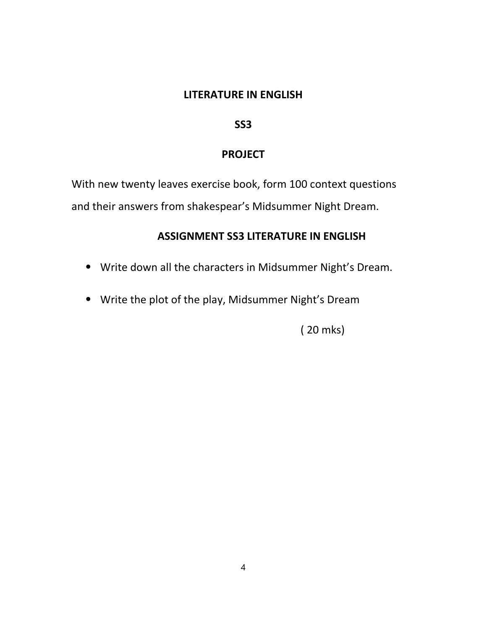#### LITERATURE IN ENGLISH

#### SS3

### PROJECT

With new twenty leaves exercise book, form 100 context questions and their answers from shakespear's Midsummer Night Dream.

### ASSIGNMENT SS3 LITERATURE IN ENGLISH

- ⦁ Write down all the characters in Midsummer Night's Dream.
- ⦁ Write the plot of the play, Midsummer Night's Dream

( 20 mks)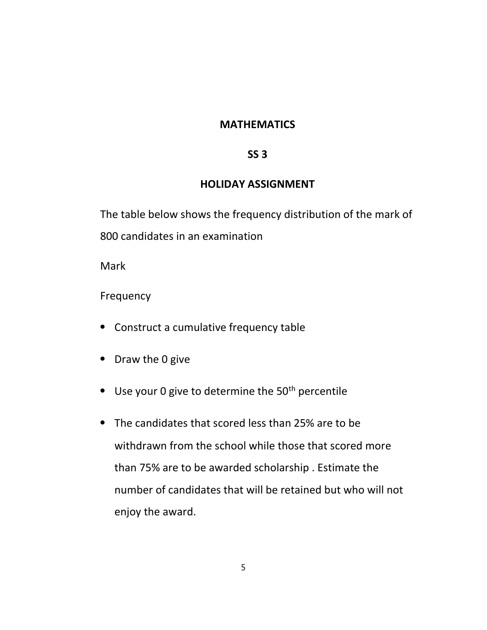#### **MATHEMATICS**

### $SS<sub>3</sub>$

#### HOLIDAY ASSIGNMENT

The table below shows the frequency distribution of the mark of 800 candidates in an examination

**Mark** 

Frequency

- ⦁ Construct a cumulative frequency table
- ⦁ Draw the 0 give
- Use your 0 give to determine the 50<sup>th</sup> percentile
- ⦁ The candidates that scored less than 25% are to be withdrawn from the school while those that scored more than 75% are to be awarded scholarship . Estimate the number of candidates that will be retained but who will not enjoy the award.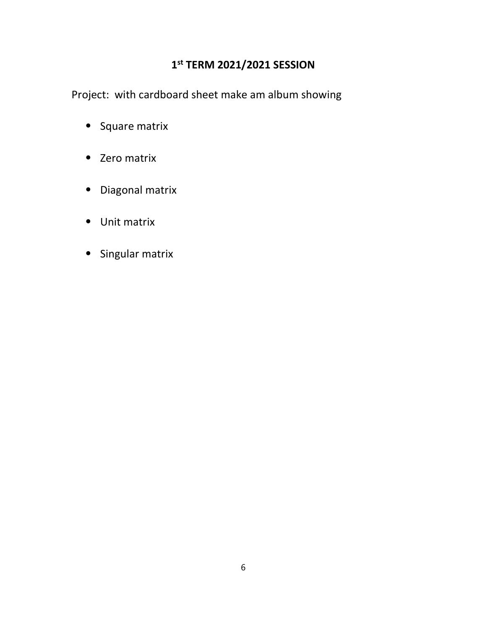### 1 st TERM 2021/2021 SESSION

Project: with cardboard sheet make am album showing

- ⦁ Square matrix
- ⦁ Zero matrix
- ⦁ Diagonal matrix
- ⦁ Unit matrix
- ⦁ Singular matrix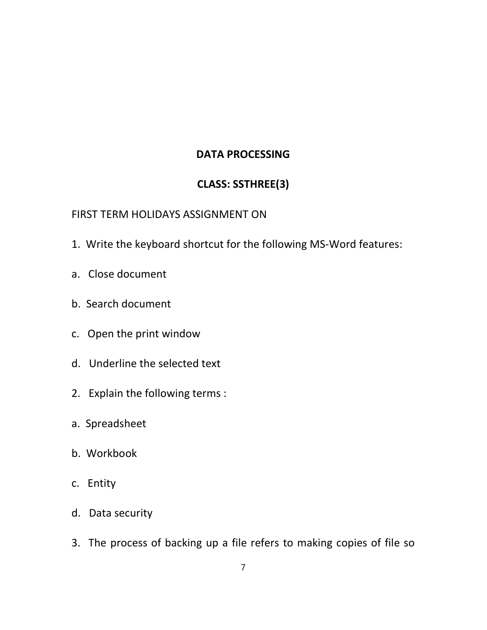### DATA PROCESSING

# CLASS: SSTHREE(3)

### FIRST TERM HOLIDAYS ASSIGNMENT ON

- 1. Write the keyboard shortcut for the following MS-Word features:
- a. Close document
- b. Search document
- c. Open the print window
- d. Underline the selected text
- 2. Explain the following terms :
- a. Spreadsheet
- b. Workbook
- c. Entity
- d. Data security
- 3. The process of backing up a file refers to making copies of file so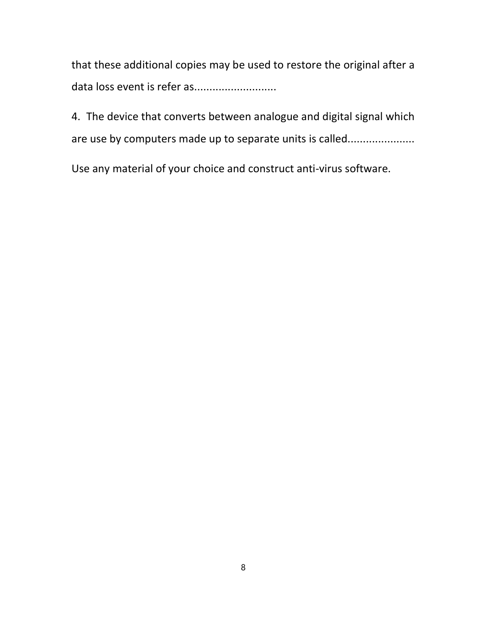that these additional copies may be used to restore the original after a data loss event is refer as............................

4. The device that converts between analogue and digital signal which are use by computers made up to separate units is called.......................

Use any material of your choice and construct anti-virus software.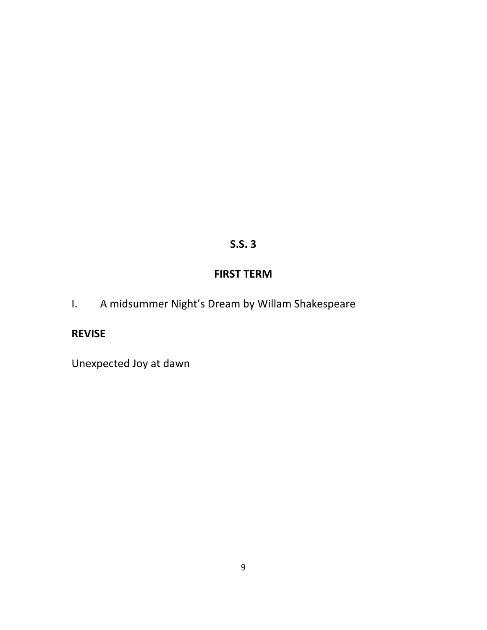# S.S. 3

# FIRST TERM

I. A midsummer Night's Dream by Willam Shakespeare

# REVISE

Unexpected Joy at dawn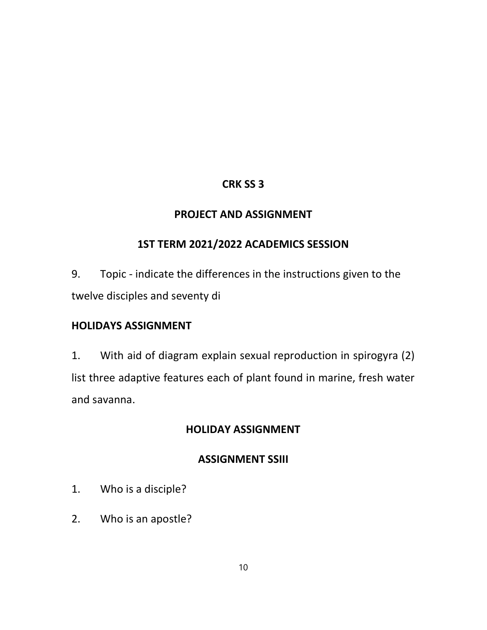# CRK SS 3

### PROJECT AND ASSIGNMENT

# 1ST TERM 2021/2022 ACADEMICS SESSION

9. Topic - indicate the differences in the instructions given to the twelve disciples and seventy di

### HOLIDAYS ASSIGNMENT

1. With aid of diagram explain sexual reproduction in spirogyra (2) list three adaptive features each of plant found in marine, fresh water and savanna.

# HOLIDAY ASSIGNMENT

# ASSIGNMENT SSIII

- 1. Who is a disciple?
- 2. Who is an apostle?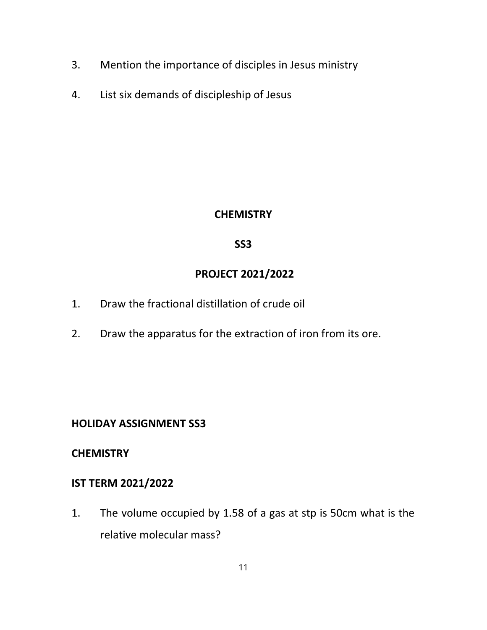- 3. Mention the importance of disciples in Jesus ministry
- 4. List six demands of discipleship of Jesus

### **CHEMISTRY**

### SS3

# PROJECT 2021/2022

- 1. Draw the fractional distillation of crude oil
- 2. Draw the apparatus for the extraction of iron from its ore.

# HOLIDAY ASSIGNMENT SS3

### **CHEMISTRY**

## IST TERM 2021/2022

1. The volume occupied by 1.58 of a gas at stp is 50cm what is the relative molecular mass?